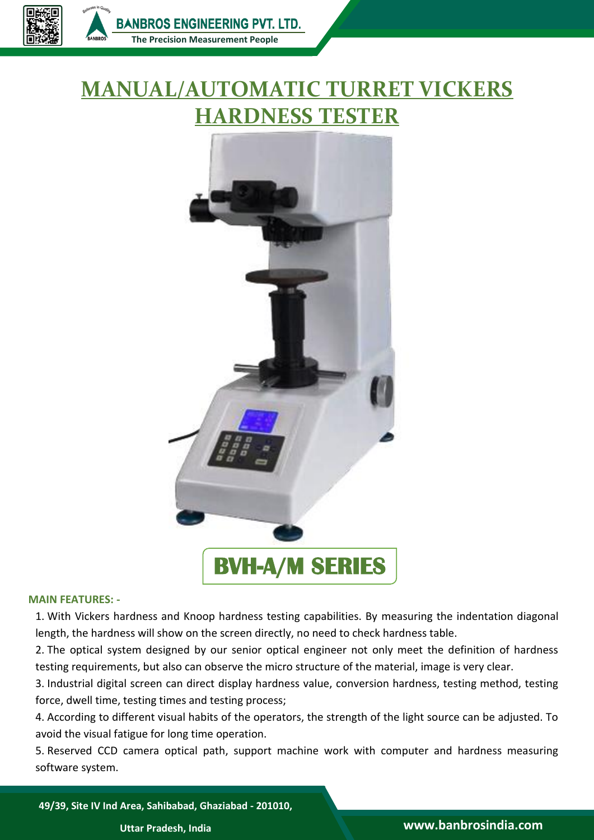

## **MANUAL/AUTOMATIC TURRET VICKERS HARDNESS TESTER**



## **MAIN FEATURES: -**

1. With Vickers hardness and Knoop hardness testing capabilities. By measuring the indentation diagonal length, the hardness will show on the screen directly, no need to check hardness table.

2. The optical system designed by our senior optical engineer not only meet the definition of hardness testing requirements, but also can observe the micro structure of the material, image is very clear.

3. Industrial digital screen can direct display hardness value, conversion hardness, testing method, testing force, dwell time, testing times and testing process;

4. According to different visual habits of the operators, the strength of the light source can be adjusted. To avoid the visual fatigue for long time operation.

5. Reserved CCD camera optical path, support machine work with computer and hardness measuring software system.

**49/39, Site IV Ind Area, Sahibabad, Ghaziabad - 201010,**